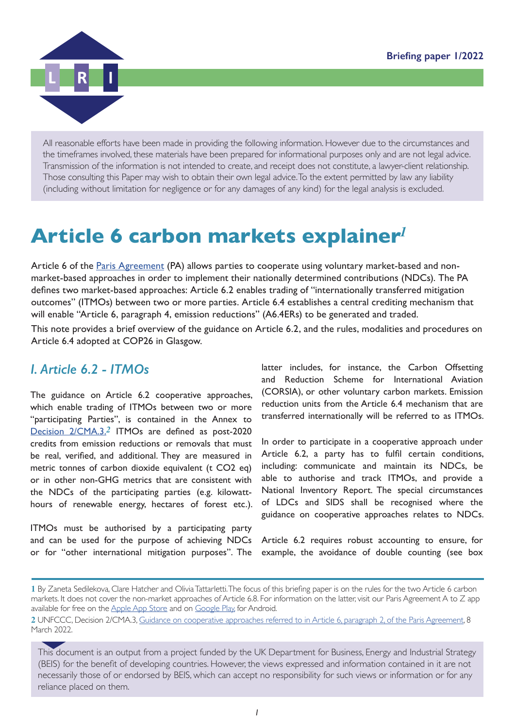

All reasonable efforts have been made in providing the following information. However due to the circumstances and the timeframes involved, these materials have been prepared for informational purposes only and are not legal advice. Transmission of the information is not intended to create, and receipt does not constitute, a lawyer-client relationship. Those consulting this Paper may wish to obtain their own legal advice. To the extent permitted by law any liability (including without limitation for negligence or for any damages of any kind) for the legal analysis is excluded.

# **Article 6 carbon markets explainer***<sup>1</sup>*

Article 6 of the **Paris Agreement** (PA) allows parties to cooperate using voluntary market-based and nonmarket-based approaches in order to implement their nationally determined contributions (NDCs). The PA defines two market-based approaches: Article 6.2 enables trading of "internationally transferred mitigation outcomes" (ITMOs) between two or more parties. Article 6.4 establishes a central crediting mechanism that will enable "Article 6, paragraph 4, emission reductions" (A6.4ERs) to be generated and traded.

This note provides a brief overview of the guidance on Article 6.2, and the rules, modalities and procedures on Article 6.4 adopted at COP26 in Glasgow.

## *I. Article 6.2 - ITMOs*

The guidance on Article 6.2 cooperative approaches, which enable trading of ITMOs between two or more "participating Parties", is contained in the Annex to [Decision 2/CMA.3.](https://unfccc.int/sites/default/files/resource/cma2021_10_add1_adv.pdf#page=11)*2* ITMOs are defined as post-2020 credits from emission reductions or removals that must be real, verified, and additional. They are measured in metric tonnes of carbon dioxide equivalent (t CO2 eq) or in other non-GHG metrics that are consistent with the NDCs of the participating parties (e.g. kilowatthours of renewable energy, hectares of forest etc.).

ITMOs must be authorised by a participating party and can be used for the purpose of achieving NDCs or for "other international mitigation purposes". The latter includes, for instance, the Carbon Offsetting and Reduction Scheme for International Aviation (CORSIA), or other voluntary carbon markets. Emission reduction units from the Article 6.4 mechanism that are transferred internationally will be referred to as ITMOs.

In order to participate in a cooperative approach under Article 6.2, a party has to fulfil certain conditions, including: communicate and maintain its NDCs, be able to authorise and track ITMOs, and provide a National Inventory Report. The special circumstances of LDCs and SIDS shall be recognised where the guidance on cooperative approaches relates to NDCs.

Article 6.2 requires robust accounting to ensure, for example, the avoidance of double counting (see box

**<sup>1</sup>** By Zaneta Sedilekova, Clare Hatcher and Olivia Tattarletti. The focus of this briefing paper is on the rules for the two Article 6 carbon markets. It does not cover the non-market approaches of Article 6.8. For information on the latter, visit our Paris Agreement A to Z app available for free on the [Apple App Store](https://apps.apple.com/gb/app/paris-agreement-a-to-z/id1560932012) and on [Google Play,](https://play.google.com/store/apps/details?id=com.lri.parisagreement&gl=GB) for Android.

**<sup>2</sup>** UNFCCC, Decision 2/CMA.3, [Guidance on cooperative approaches referred to in Article 6, paragraph 2, of the Paris Agreement, 8](https://unfccc.int/sites/default/files/resource/cma2021_10_add1_adv.pdf#page=11)  [March 2022.](https://unfccc.int/sites/default/files/resource/cma2021_10_add1_adv.pdf#page=11) 

This document is an output from a project funded by the UK Department for Business, Energy and Industrial Strategy (BEIS) for the benefit of developing countries. However, the views expressed and information contained in it are not necessarily those of or endorsed by BEIS, which can accept no responsibility for such views or information or for any reliance placed on them.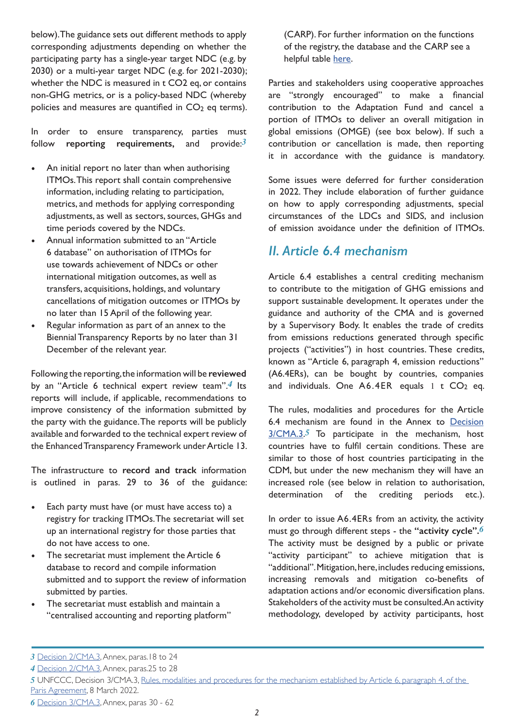below). The guidance sets out different methods to apply corresponding adjustments depending on whether the participating party has a single-year target NDC (e.g. by 2030) or a multi-year target NDC (e.g. for 2021-2030); whether the NDC is measured in t CO2 eq, or contains non-GHG metrics, or is a policy-based NDC (whereby policies and measures are quantified in  $CO<sub>2</sub>$  eq terms).

In order to ensure transparency, parties must follow **reporting requirements,** and provide:*3*

- An initial report no later than when authorising ITMOs. This report shall contain comprehensive information, including relating to participation, metrics, and methods for applying corresponding adjustments, as well as sectors, sources, GHGs and time periods covered by the NDCs.
- Annual information submitted to an "Article 6 database" on authorisation of ITMOs for use towards achievement of NDCs or other international mitigation outcomes, as well as transfers, acquisitions, holdings, and voluntary cancellations of mitigation outcomes or ITMOs by no later than 15 April of the following year.
- Regular information as part of an annex to the Biennial Transparency Reports by no later than 31 December of the relevant year.

Following the reporting, the information will be **reviewed** by an "Article 6 technical expert review team".*4* Its reports will include, if applicable, recommendations to improve consistency of the information submitted by the party with the guidance. The reports will be publicly available and forwarded to the technical expert review of the Enhanced Transparency Framework under Article 13.

The infrastructure to **record and track** information is outlined in paras. 29 to 36 of the guidance:

- Each party must have (or must have access to) a registry for tracking ITMOs. The secretariat will set up an international registry for those parties that do not have access to one.
- The secretariat must implement the Article 6 database to record and compile information submitted and to support the review of information submitted by parties.
- The secretariat must establish and maintain a "centralised accounting and reporting platform"

(CARP). For further information on the functions of the registry, the database and the CARP see a helpful table [here.](https://ercst.org/wp-content/uploads/2022/02/Sana_Article-6-infrstructure-V-2-ERCST.pdf#page=3)

Parties and stakeholders using cooperative approaches are "strongly encouraged" to make a financial contribution to the Adaptation Fund and cancel a portion of ITMOs to deliver an overall mitigation in global emissions (OMGE) (see box below). If such a contribution or cancellation is made, then reporting it in accordance with the guidance is mandatory.

Some issues were deferred for further consideration in 2022. They include elaboration of further guidance on how to apply corresponding adjustments, special circumstances of the LDCs and SIDS, and inclusion of emission avoidance under the definition of ITMOs.

## *II. Article 6.4 mechanism*

Article 6.4 establishes a central crediting mechanism to contribute to the mitigation of GHG emissions and support sustainable development. It operates under the guidance and authority of the CMA and is governed by a Supervisory Body. It enables the trade of credits from emissions reductions generated through specific projects ("activities") in host countries. These credits, known as "Article 6, paragraph 4, emission reductions" (A6.4ERs), can be bought by countries, companies and individuals. One  $A6.4ER$  equals 1 t  $CO<sub>2</sub>$  eq.

The rules, modalities and procedures for the Article 6.4 mechanism are found in the Annex to [Decision](https://unfccc.int/sites/default/files/resource/cma2021_10_add1_adv.pdf#page=25) [3/CMA.3](https://unfccc.int/sites/default/files/resource/cma2021_10_add1_adv.pdf#page=25).*5* To participate in the mechanism, host countries have to fulfil certain conditions. These are similar to those of host countries participating in the CDM, but under the new mechanism they will have an increased role (see below in relation to authorisation, determination of the crediting periods etc.).

In order to issue A6.4ERs from an activity, the activity must go through different steps - the **"activity cycle".***6* The activity must be designed by a public or private "activity participant" to achieve mitigation that is "additional". Mitigation, here, includes reducing emissions, increasing removals and mitigation co-benefits of adaptation actions and/or economic diversification plans. Stakeholders of the activity must be consulted. An activity methodology, developed by activity participants, host

*4* [Decision 2/CMA.3,](https://unfccc.int/sites/default/files/resource/cma2021_10_add1_adv.pdf#page=22) Annex, paras.25 to 28

*<sup>3</sup>* [Decision 2/CMA.3,](https://unfccc.int/sites/default/files/resource/cma2021_10_add1_adv.pdf#page=18) Annex, paras.18 to 24

*<sup>5</sup>* UNFCCC, Decision 3/CMA.3, [Rules, modalities and procedures for the mechanism established by Article 6, paragraph 4, of the](https://unfccc.int/sites/default/files/resource/cma2021_10_add1_adv.pdf#page=25)  [Paris Agreement](https://unfccc.int/sites/default/files/resource/cma2021_10_add1_adv.pdf#page=25), 8 March 2022.

*<sup>6</sup>* [Decision 3/CMA.3,](https://unfccc.int/sites/default/files/resource/cma2021_10_add1_adv.pdf#page=33) Annex, paras 30 - 62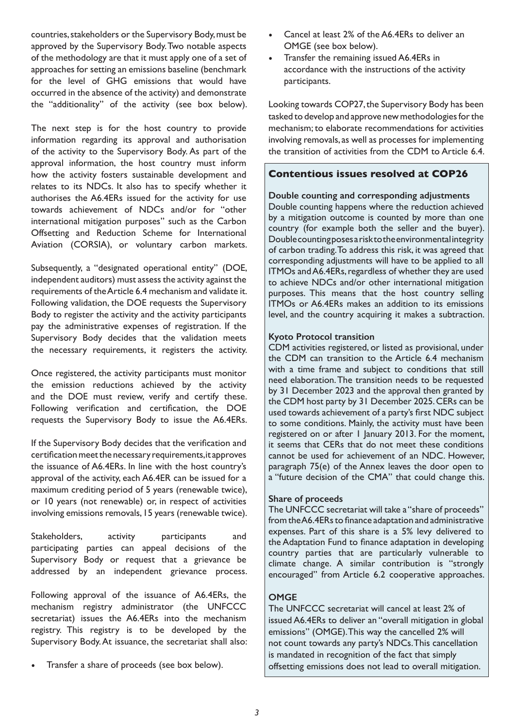countries, stakeholders or the Supervisory Body, must be approved by the Supervisory Body. Two notable aspects of the methodology are that it must apply one of a set of approaches for setting an emissions baseline (benchmark for the level of GHG emissions that would have occurred in the absence of the activity) and demonstrate the "additionality" of the activity (see box below).

The next step is for the host country to provide information regarding its approval and authorisation of the activity to the Supervisory Body. As part of the approval information, the host country must inform how the activity fosters sustainable development and relates to its NDCs. It also has to specify whether it authorises the A6.4ERs issued for the activity for use towards achievement of NDCs and/or for "other international mitigation purposes" such as the Carbon Offsetting and Reduction Scheme for International Aviation (CORSIA), or voluntary carbon markets.

Subsequently, a "designated operational entity" (DOE, independent auditors) must assess the activity against the requirements of the Article 6.4 mechanism and validate it. Following validation, the DOE requests the Supervisory Body to register the activity and the activity participants pay the administrative expenses of registration. If the Supervisory Body decides that the validation meets the necessary requirements, it registers the activity.

Once registered, the activity participants must monitor the emission reductions achieved by the activity and the DOE must review, verify and certify these. Following verification and certification, the DOE requests the Supervisory Body to issue the A6.4ERs.

If the Supervisory Body decides that the verification and certification meet the necessary requirements, it approves the issuance of A6.4ERs. In line with the host country's approval of the activity, each A6.4ER can be issued for a maximum crediting period of 5 years (renewable twice), or 10 years (not renewable) or, in respect of activities involving emissions removals, 15 years (renewable twice).

Stakeholders, activity participants and participating parties can appeal decisions of the Supervisory Body or request that a grievance be addressed by an independent grievance process.

Following approval of the issuance of A6.4ERs, the mechanism registry administrator (the UNFCCC secretariat) issues the A6.4ERs into the mechanism registry. This registry is to be developed by the Supervisory Body. At issuance, the secretariat shall also:

Transfer a share of proceeds (see box below).

- Cancel at least 2% of the A6.4ERs to deliver an OMGE (see box below).
- Transfer the remaining issued A6.4ERs in accordance with the instructions of the activity participants.

Looking towards COP27, the Supervisory Body has been tasked to develop and approve new methodologies for the mechanism; to elaborate recommendations for activities involving removals, as well as processes for implementing the transition of activities from the CDM to Article 6.4.

#### **Contentious issues resolved at COP26**

#### **Double counting and corresponding adjustments**

Double counting happens where the reduction achieved by a mitigation outcome is counted by more than one country (for example both the seller and the buyer). Double counting poses a risk to the environmental integrity of carbon trading. To address this risk, it was agreed that corresponding adjustments will have to be applied to all ITMOs and A6.4ERs, regardless of whether they are used to achieve NDCs and/or other international mitigation purposes. This means that the host country selling ITMOs or A6.4ERs makes an addition to its emissions level, and the country acquiring it makes a subtraction.

#### **Kyoto Protocol transition**

CDM activities registered, or listed as provisional, under the CDM can transition to the Article 6.4 mechanism with a time frame and subject to conditions that still need elaboration. The transition needs to be requested by 31 December 2023 and the approval then granted by the CDM host party by 31 December 2025. CERs can be used towards achievement of a party's first NDC subject to some conditions. Mainly, the activity must have been registered on or after 1 January 2013. For the moment, it seems that CERs that do not meet these conditions cannot be used for achievement of an NDC. However, paragraph 75(e) of the Annex leaves the door open to a "future decision of the CMA" that could change this.

#### **Share of proceeds**

The UNFCCC secretariat will take a "share of proceeds" from the A6.4ERs to finance adaptation and administrative expenses. Part of this share is a 5% levy delivered to the Adaptation Fund to finance adaptation in developing country parties that are particularly vulnerable to climate change. A similar contribution is "strongly encouraged" from Article 6.2 cooperative approaches.

#### **OMGE**

The UNFCCC secretariat will cancel at least 2% of issued A6.4ERs to deliver an "overall mitigation in global emissions" (OMGE). This way the cancelled 2% will not count towards any party's NDCs. This cancellation is mandated in recognition of the fact that simply offsetting emissions does not lead to overall mitigation.